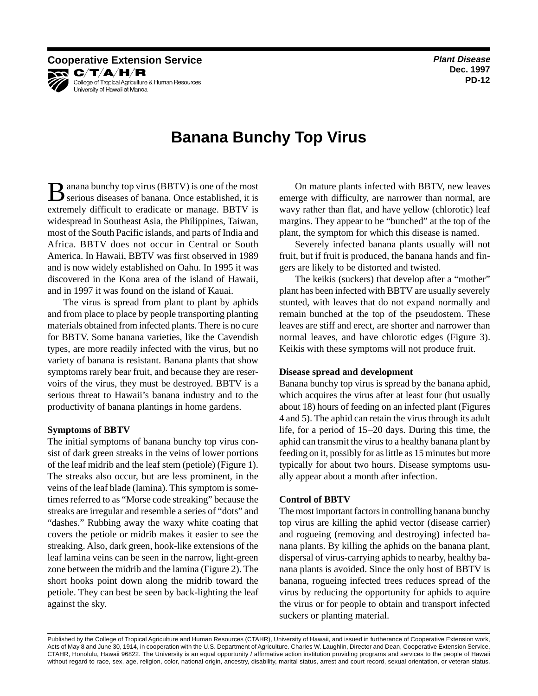**Dec. 1997 PD-12**

**Cooperative Extension Service Plant Disease Plant Disease** KR C/T/A/H/R College of Tropical Agriculture & Human Resources University of Hawaii at Manoa

# **Banana Bunchy Top Virus**

**B** anana bunchy top virus (BBTV) is one of the most serious diseases of banana. Once established, it is extremely difficult to eradicate or manage. BBTV is widespread in Southeast Asia, the Philippines, Taiwan, most of the South Pacific islands, and parts of India and Africa. BBTV does not occur in Central or South America. In Hawaii, BBTV was first observed in 1989 and is now widely established on Oahu. In 1995 it was discovered in the Kona area of the island of Hawaii, and in 1997 it was found on the island of Kauai.

The virus is spread from plant to plant by aphids and from place to place by people transporting planting materials obtained from infected plants. There is no cure for BBTV. Some banana varieties, like the Cavendish types, are more readily infected with the virus, but no variety of banana is resistant. Banana plants that show symptoms rarely bear fruit, and because they are reservoirs of the virus, they must be destroyed. BBTV is a serious threat to Hawaii's banana industry and to the productivity of banana plantings in home gardens.

## **Symptoms of BBTV**

The initial symptoms of banana bunchy top virus consist of dark green streaks in the veins of lower portions of the leaf midrib and the leaf stem (petiole) (Figure 1). The streaks also occur, but are less prominent, in the veins of the leaf blade (lamina). This symptom is sometimes referred to as "Morse code streaking" because the streaks are irregular and resemble a series of "dots" and "dashes." Rubbing away the waxy white coating that covers the petiole or midrib makes it easier to see the streaking. Also, dark green, hook-like extensions of the leaf lamina veins can be seen in the narrow, light-green zone between the midrib and the lamina (Figure 2). The short hooks point down along the midrib toward the petiole. They can best be seen by back-lighting the leaf against the sky.

On mature plants infected with BBTV, new leaves emerge with difficulty, are narrower than normal, are wavy rather than flat, and have yellow (chlorotic) leaf margins. They appear to be "bunched" at the top of the plant, the symptom for which this disease is named.

Severely infected banana plants usually will not fruit, but if fruit is produced, the banana hands and fingers are likely to be distorted and twisted.

The keikis (suckers) that develop after a "mother" plant has been infected with BBTV are usually severely stunted, with leaves that do not expand normally and remain bunched at the top of the pseudostem. These leaves are stiff and erect, are shorter and narrower than normal leaves, and have chlorotic edges (Figure 3). Keikis with these symptoms will not produce fruit.

## **Disease spread and development**

Banana bunchy top virus is spread by the banana aphid, which acquires the virus after at least four (but usually about 18) hours of feeding on an infected plant (Figures 4 and 5). The aphid can retain the virus through its adult life, for a period of 15–20 days. During this time, the aphid can transmit the virus to a healthy banana plant by feeding on it, possibly for as little as 15 minutes but more typically for about two hours. Disease symptoms usually appear about a month after infection.

#### **Control of BBTV**

The most important factors in controlling banana bunchy top virus are killing the aphid vector (disease carrier) and rogueing (removing and destroying) infected banana plants. By killing the aphids on the banana plant, dispersal of virus-carrying aphids to nearby, healthy banana plants is avoided. Since the only host of BBTV is banana, rogueing infected trees reduces spread of the virus by reducing the opportunity for aphids to aquire the virus or for people to obtain and transport infected suckers or planting material.

Published by the College of Tropical Agriculture and Human Resources (CTAHR), University of Hawaii, and issued in furtherance of Cooperative Extension work, Acts of May 8 and June 30, 1914, in cooperation with the U.S. Department of Agriculture. Charles W. Laughlin, Director and Dean, Cooperative Extension Service, CTAHR, Honolulu, Hawaii 96822. The University is an equal opportunity / affirmative action institution providing programs and services to the people of Hawaii without regard to race, sex, age, religion, color, national origin, ancestry, disability, marital status, arrest and court record, sexual orientation, or veteran status.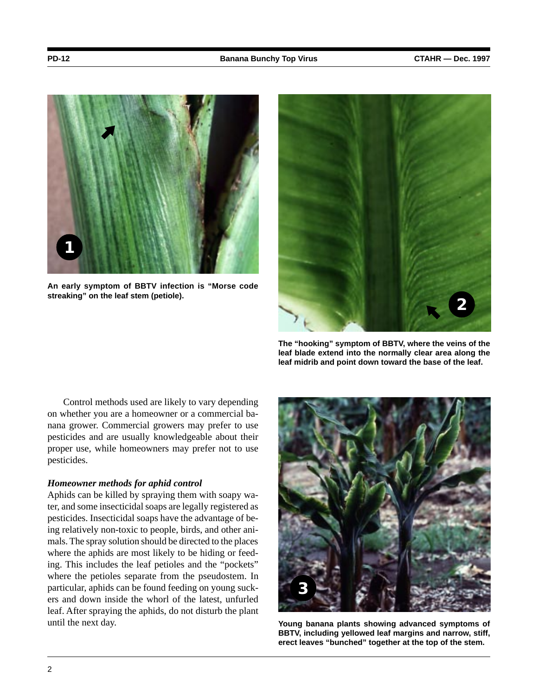

**An early symptom of BBTV infection is "Morse code streaking" on the leaf stem (petiole).**



**The "hooking" symptom of BBTV, where the veins of the leaf blade extend into the normally clear area along the leaf midrib and point down toward the base of the leaf.**

Control methods used are likely to vary depending on whether you are a homeowner or a commercial banana grower. Commercial growers may prefer to use pesticides and are usually knowledgeable about their proper use, while homeowners may prefer not to use pesticides.

## *Homeowner methods for aphid control*

Aphids can be killed by spraying them with soapy water, and some insecticidal soaps are legally registered as pesticides. Insecticidal soaps have the advantage of being relatively non-toxic to people, birds, and other animals. The spray solution should be directed to the places where the aphids are most likely to be hiding or feeding. This includes the leaf petioles and the "pockets" where the petioles separate from the pseudostem. In particular, aphids can be found feeding on young suckers and down inside the whorl of the latest, unfurled leaf. After spraying the aphids, do not disturb the plant until the next day.



**Young banana plants showing advanced symptoms of BBTV, including yellowed leaf margins and narrow, stiff, erect leaves "bunched" together at the top of the stem.**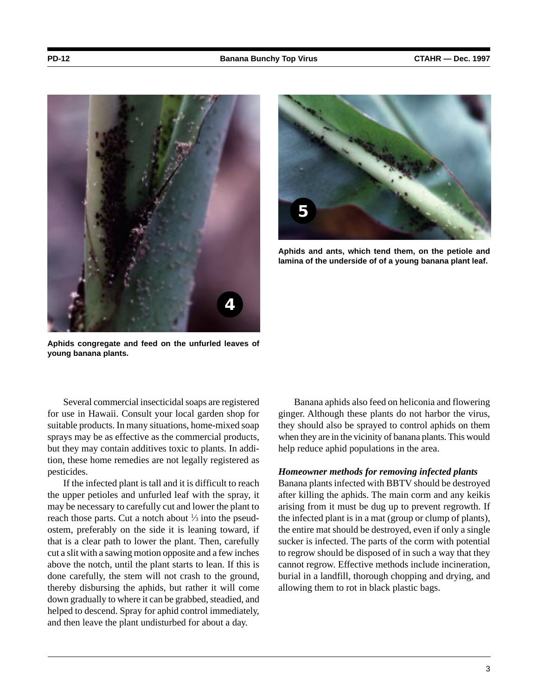

**Aphids congregate and feed on the unfurled leaves of young banana plants.**

**5**

**Aphids and ants, which tend them, on the petiole and lamina of the underside of of a young banana plant leaf.**

Several commercial insecticidal soaps are registered for use in Hawaii. Consult your local garden shop for suitable products. In many situations, home-mixed soap sprays may be as effective as the commercial products, but they may contain additives toxic to plants. In addition, these home remedies are not legally registered as pesticides.

If the infected plant is tall and it is difficult to reach the upper petioles and unfurled leaf with the spray, it may be necessary to carefully cut and lower the plant to reach those parts. Cut a notch about  $\frac{1}{3}$  into the pseudostem, preferably on the side it is leaning toward, if that is a clear path to lower the plant. Then, carefully cut a slit with a sawing motion opposite and a few inches above the notch, until the plant starts to lean. If this is done carefully, the stem will not crash to the ground, thereby disbursing the aphids, but rather it will come down gradually to where it can be grabbed, steadied, and helped to descend. Spray for aphid control immediately, and then leave the plant undisturbed for about a day.

Banana aphids also feed on heliconia and flowering ginger. Although these plants do not harbor the virus, they should also be sprayed to control aphids on them when they are in the vicinity of banana plants. This would help reduce aphid populations in the area.

#### *Homeowner methods for removing infected plants*

Banana plants infected with BBTV should be destroyed after killing the aphids. The main corm and any keikis arising from it must be dug up to prevent regrowth. If the infected plant is in a mat (group or clump of plants), the entire mat should be destroyed, even if only a single sucker is infected. The parts of the corm with potential to regrow should be disposed of in such a way that they cannot regrow. Effective methods include incineration, burial in a landfill, thorough chopping and drying, and allowing them to rot in black plastic bags.